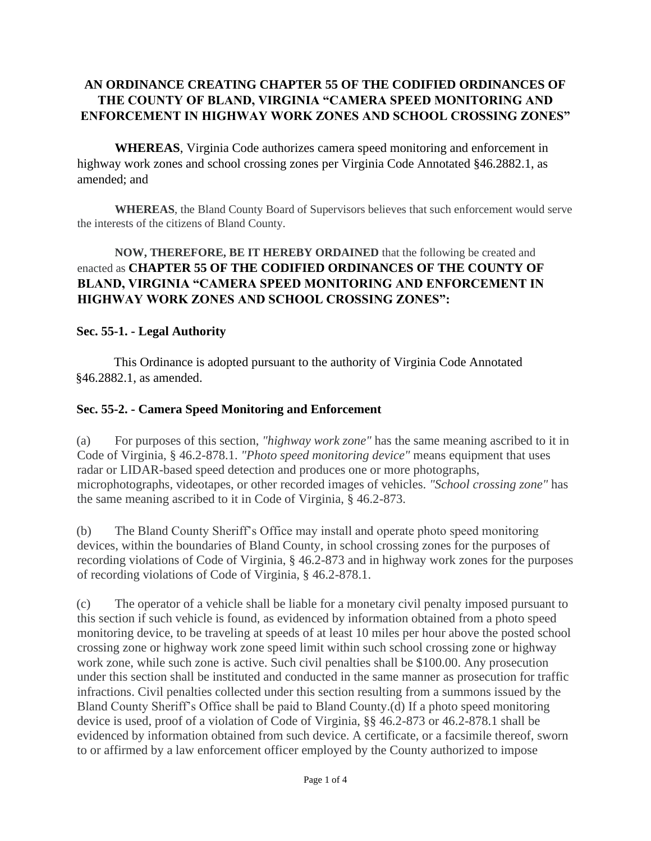## **AN ORDINANCE CREATING CHAPTER 55 OF THE CODIFIED ORDINANCES OF THE COUNTY OF BLAND, VIRGINIA "CAMERA SPEED MONITORING AND ENFORCEMENT IN HIGHWAY WORK ZONES AND SCHOOL CROSSING ZONES"**

**WHEREAS**, Virginia Code authorizes camera speed monitoring and enforcement in highway work zones and school crossing zones per Virginia Code Annotated §46.2882.1, as amended; and

**WHEREAS**, the Bland County Board of Supervisors believes that such enforcement would serve the interests of the citizens of Bland County.

## **NOW, THEREFORE, BE IT HEREBY ORDAINED** that the following be created and enacted as **CHAPTER 55 OF THE CODIFIED ORDINANCES OF THE COUNTY OF BLAND, VIRGINIA "CAMERA SPEED MONITORING AND ENFORCEMENT IN HIGHWAY WORK ZONES AND SCHOOL CROSSING ZONES":**

## **Sec. 55-1. - Legal Authority**

This Ordinance is adopted pursuant to the authority of Virginia Code Annotated §46.2882.1, as amended.

## **Sec. 55-2. - Camera Speed Monitoring and Enforcement**

(a) For purposes of this section, *"highway work zone"* has the same meaning ascribed to it in Code of Virginia, § 46.2-878.1. *"Photo speed monitoring device"* means equipment that uses radar or LIDAR-based speed detection and produces one or more photographs, microphotographs, videotapes, or other recorded images of vehicles. *"School crossing zone"* has the same meaning ascribed to it in Code of Virginia, § 46.2-873.

(b) The Bland County Sheriff's Office may install and operate photo speed monitoring devices, within the boundaries of Bland County, in school crossing zones for the purposes of recording violations of Code of Virginia, § 46.2-873 and in highway work zones for the purposes of recording violations of Code of Virginia, § 46.2-878.1.

(c) The operator of a vehicle shall be liable for a monetary civil penalty imposed pursuant to this section if such vehicle is found, as evidenced by information obtained from a photo speed monitoring device, to be traveling at speeds of at least 10 miles per hour above the posted school crossing zone or highway work zone speed limit within such school crossing zone or highway work zone, while such zone is active. Such civil penalties shall be \$100.00. Any prosecution under this section shall be instituted and conducted in the same manner as prosecution for traffic infractions. Civil penalties collected under this section resulting from a summons issued by the Bland County Sheriff's Office shall be paid to Bland County.(d) If a photo speed monitoring device is used, proof of a violation of Code of Virginia, §§ 46.2-873 or 46.2-878.1 shall be evidenced by information obtained from such device. A certificate, or a facsimile thereof, sworn to or affirmed by a law enforcement officer employed by the County authorized to impose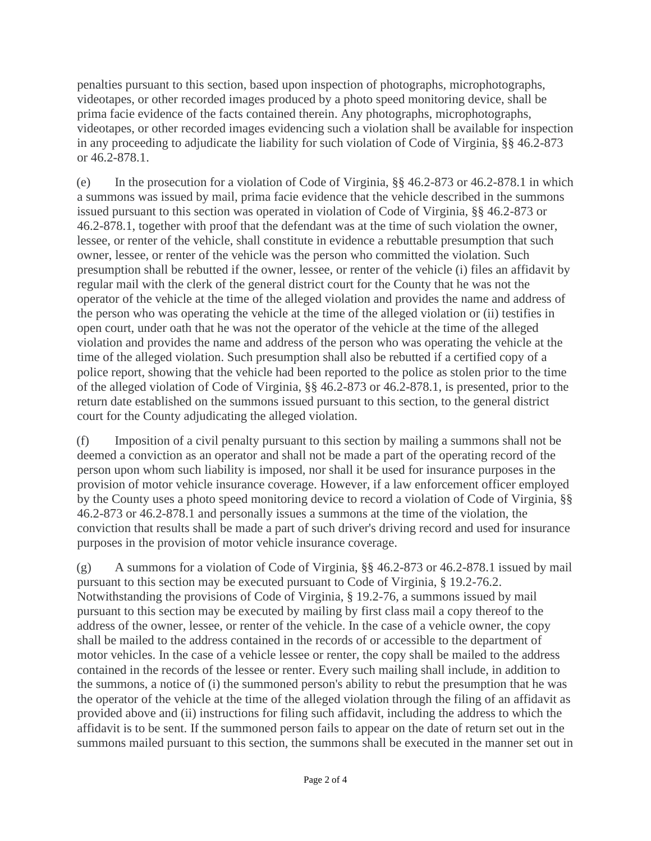penalties pursuant to this section, based upon inspection of photographs, microphotographs, videotapes, or other recorded images produced by a photo speed monitoring device, shall be prima facie evidence of the facts contained therein. Any photographs, microphotographs, videotapes, or other recorded images evidencing such a violation shall be available for inspection in any proceeding to adjudicate the liability for such violation of Code of Virginia, §§ 46.2-873 or 46.2-878.1.

(e) In the prosecution for a violation of Code of Virginia, §§ 46.2-873 or 46.2-878.1 in which a summons was issued by mail, prima facie evidence that the vehicle described in the summons issued pursuant to this section was operated in violation of Code of Virginia, §§ 46.2-873 or 46.2-878.1, together with proof that the defendant was at the time of such violation the owner, lessee, or renter of the vehicle, shall constitute in evidence a rebuttable presumption that such owner, lessee, or renter of the vehicle was the person who committed the violation. Such presumption shall be rebutted if the owner, lessee, or renter of the vehicle (i) files an affidavit by regular mail with the clerk of the general district court for the County that he was not the operator of the vehicle at the time of the alleged violation and provides the name and address of the person who was operating the vehicle at the time of the alleged violation or (ii) testifies in open court, under oath that he was not the operator of the vehicle at the time of the alleged violation and provides the name and address of the person who was operating the vehicle at the time of the alleged violation. Such presumption shall also be rebutted if a certified copy of a police report, showing that the vehicle had been reported to the police as stolen prior to the time of the alleged violation of Code of Virginia, §§ 46.2-873 or 46.2-878.1, is presented, prior to the return date established on the summons issued pursuant to this section, to the general district court for the County adjudicating the alleged violation.

(f) Imposition of a civil penalty pursuant to this section by mailing a summons shall not be deemed a conviction as an operator and shall not be made a part of the operating record of the person upon whom such liability is imposed, nor shall it be used for insurance purposes in the provision of motor vehicle insurance coverage. However, if a law enforcement officer employed by the County uses a photo speed monitoring device to record a violation of Code of Virginia, §§ 46.2-873 or 46.2-878.1 and personally issues a summons at the time of the violation, the conviction that results shall be made a part of such driver's driving record and used for insurance purposes in the provision of motor vehicle insurance coverage.

(g) A summons for a violation of Code of Virginia, §§ 46.2-873 or 46.2-878.1 issued by mail pursuant to this section may be executed pursuant to Code of Virginia, § 19.2-76.2. Notwithstanding the provisions of Code of Virginia, § 19.2-76, a summons issued by mail pursuant to this section may be executed by mailing by first class mail a copy thereof to the address of the owner, lessee, or renter of the vehicle. In the case of a vehicle owner, the copy shall be mailed to the address contained in the records of or accessible to the department of motor vehicles. In the case of a vehicle lessee or renter, the copy shall be mailed to the address contained in the records of the lessee or renter. Every such mailing shall include, in addition to the summons, a notice of (i) the summoned person's ability to rebut the presumption that he was the operator of the vehicle at the time of the alleged violation through the filing of an affidavit as provided above and (ii) instructions for filing such affidavit, including the address to which the affidavit is to be sent. If the summoned person fails to appear on the date of return set out in the summons mailed pursuant to this section, the summons shall be executed in the manner set out in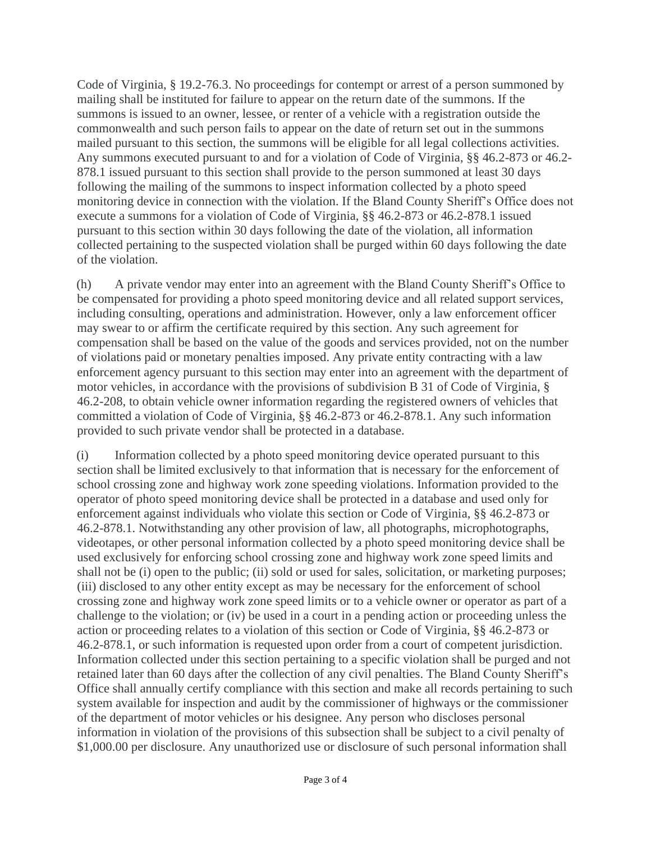Code of Virginia, § 19.2-76.3. No proceedings for contempt or arrest of a person summoned by mailing shall be instituted for failure to appear on the return date of the summons. If the summons is issued to an owner, lessee, or renter of a vehicle with a registration outside the commonwealth and such person fails to appear on the date of return set out in the summons mailed pursuant to this section, the summons will be eligible for all legal collections activities. Any summons executed pursuant to and for a violation of Code of Virginia, §§ 46.2-873 or 46.2- 878.1 issued pursuant to this section shall provide to the person summoned at least 30 days following the mailing of the summons to inspect information collected by a photo speed monitoring device in connection with the violation. If the Bland County Sheriff's Office does not execute a summons for a violation of Code of Virginia, §§ 46.2-873 or 46.2-878.1 issued pursuant to this section within 30 days following the date of the violation, all information collected pertaining to the suspected violation shall be purged within 60 days following the date of the violation.

(h) A private vendor may enter into an agreement with the Bland County Sheriff's Office to be compensated for providing a photo speed monitoring device and all related support services, including consulting, operations and administration. However, only a law enforcement officer may swear to or affirm the certificate required by this section. Any such agreement for compensation shall be based on the value of the goods and services provided, not on the number of violations paid or monetary penalties imposed. Any private entity contracting with a law enforcement agency pursuant to this section may enter into an agreement with the department of motor vehicles, in accordance with the provisions of subdivision B 31 of Code of Virginia, § 46.2-208, to obtain vehicle owner information regarding the registered owners of vehicles that committed a violation of Code of Virginia, §§ 46.2-873 or 46.2-878.1. Any such information provided to such private vendor shall be protected in a database.

(i) Information collected by a photo speed monitoring device operated pursuant to this section shall be limited exclusively to that information that is necessary for the enforcement of school crossing zone and highway work zone speeding violations. Information provided to the operator of photo speed monitoring device shall be protected in a database and used only for enforcement against individuals who violate this section or Code of Virginia, §§ 46.2-873 or 46.2-878.1. Notwithstanding any other provision of law, all photographs, microphotographs, videotapes, or other personal information collected by a photo speed monitoring device shall be used exclusively for enforcing school crossing zone and highway work zone speed limits and shall not be (i) open to the public; (ii) sold or used for sales, solicitation, or marketing purposes; (iii) disclosed to any other entity except as may be necessary for the enforcement of school crossing zone and highway work zone speed limits or to a vehicle owner or operator as part of a challenge to the violation; or (iv) be used in a court in a pending action or proceeding unless the action or proceeding relates to a violation of this section or Code of Virginia, §§ 46.2-873 or 46.2-878.1, or such information is requested upon order from a court of competent jurisdiction. Information collected under this section pertaining to a specific violation shall be purged and not retained later than 60 days after the collection of any civil penalties. The Bland County Sheriff's Office shall annually certify compliance with this section and make all records pertaining to such system available for inspection and audit by the commissioner of highways or the commissioner of the department of motor vehicles or his designee. Any person who discloses personal information in violation of the provisions of this subsection shall be subject to a civil penalty of \$1,000.00 per disclosure. Any unauthorized use or disclosure of such personal information shall